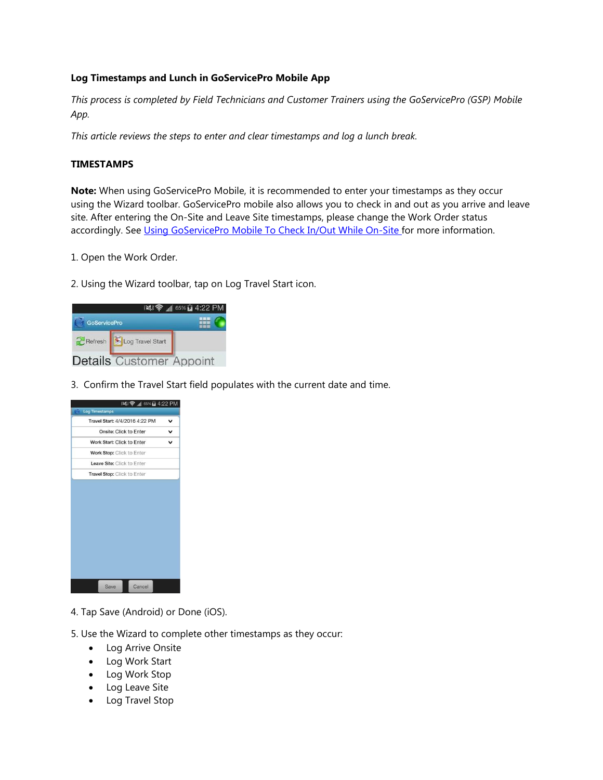## **Log Timestamps and Lunch in GoServicePro Mobile App**

*This process is completed by Field Technicians and Customer Trainers using the GoServicePro (GSP) Mobile App.* 

*This article reviews the steps to enter and clear timestamps and log a lunch break.* 

## **TIMESTAMPS**

**Note:** When using GoServicePro Mobile, it is recommended to enter your timestamps as they occur using the Wizard toolbar. GoServicePro mobile also allows you to check in and out as you arrive and leave site. After entering the On-Site and Leave Site timestamps, please change the Work Order status accordingly. See [Using GoServicePro Mobile To Check In/Out While On-Site f](https://portal.daktronics.lan/sites/scp/CSRKB/Pages/DD3252363.aspx)or more information.

- 1. Open the Work Order.
- 2. Using the Wizard toolbar, tap on Log Travel Start icon.

|                     |                                 | 1 65% a 4:22 PM |
|---------------------|---------------------------------|-----------------|
| <b>GoServicePro</b> |                                 |                 |
|                     | Refresh Log Travel Start        |                 |
|                     | <b>Details</b> Customer Appoint |                 |

3. Confirm the Travel Start field populates with the current date and time.

| ※ ● 1 65% 2 4:22 PM<br><b>Log Timestamps</b> |   |
|----------------------------------------------|---|
| Travel Start: 4/4/2016 4:22 PM               | v |
| Onsite: Click to Enter                       | v |
| Work Start: Click to Enter                   |   |
| Work Stop: Click to Enter                    |   |
| Leave Site: Click to Enter                   |   |
| Travel Stop: Click to Enter                  |   |
|                                              |   |
|                                              |   |

- 4. Tap Save (Android) or Done (iOS).
- 5. Use the Wizard to complete other timestamps as they occur:
	- Log Arrive Onsite
	- Log Work Start
	- Log Work Stop
	- Log Leave Site
	- Log Travel Stop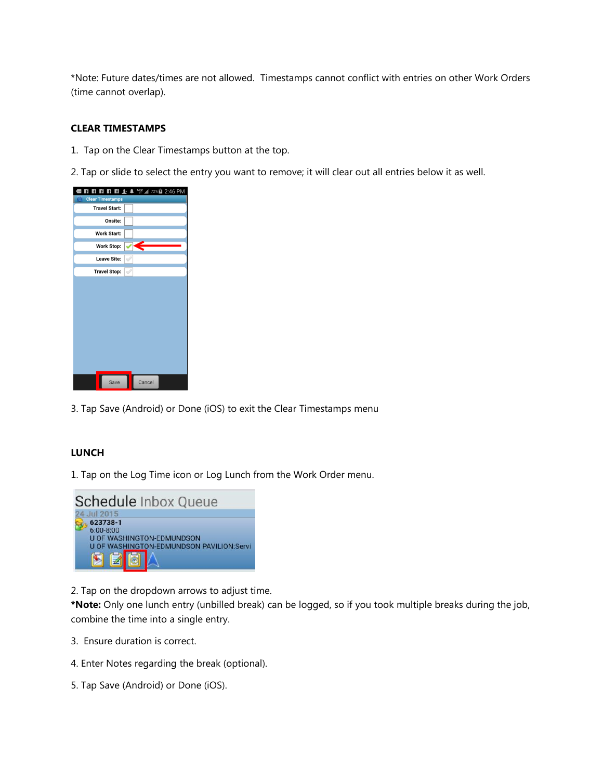\*Note: Future dates/times are not allowed. Timestamps cannot conflict with entries on other Work Orders (time cannot overlap).

## **CLEAR TIMESTAMPS**

1. Tap on the Clear Timestamps button at the top.

2. Tap or slide to select the entry you want to remove; it will clear out all entries below it as well.

| <b>日日日日日上</b> ▲ 宇 <i>』</i> 72%自 2:46 PM |
|-----------------------------------------|
| <b>Clear Timestamps</b>                 |
| <b>Travel Start:</b>                    |
| Onsite:                                 |
| Work Start:                             |
| Work Stop:                              |
| Leave Site:                             |
| <b>Travel Stop:</b><br>√                |
|                                         |
| Cancel<br>Save                          |

3. Tap Save (Android) or Done (iOS) to exit the Clear Timestamps menu

## **LUNCH**

1. Tap on the Log Time icon or Log Lunch from the Work Order menu.



2. Tap on the dropdown arrows to adjust time.

**\*Note:** Only one lunch entry (unbilled break) can be logged, so if you took multiple breaks during the job, combine the time into a single entry.

- 3. Ensure duration is correct.
- 4. Enter Notes regarding the break (optional).
- 5. Tap Save (Android) or Done (iOS).